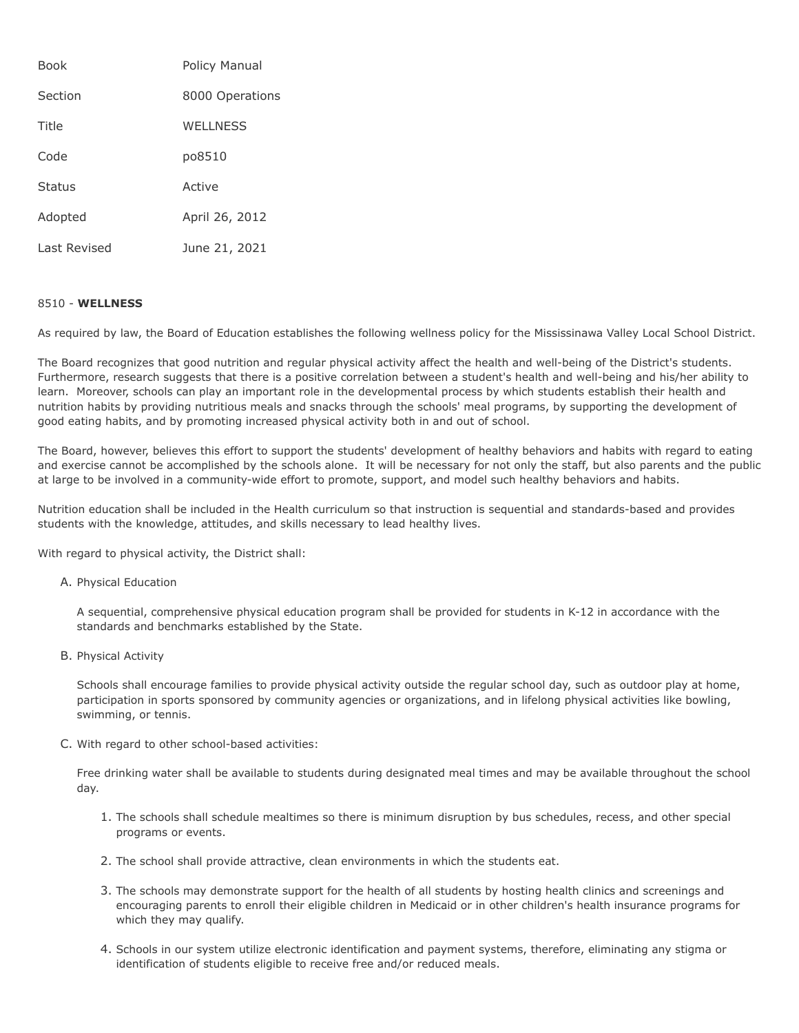| <b>Book</b>   | <b>Policy Manual</b> |
|---------------|----------------------|
| Section       | 8000 Operations      |
| Title         | <b>WELLNESS</b>      |
| Code          | po8510               |
| <b>Status</b> | Active               |
| Adopted       | April 26, 2012       |
| Last Revised  | June 21, 2021        |

## 8510 - **WELLNESS**

As required by law, the Board of Education establishes the following wellness policy for the Mississinawa Valley Local School District.

The Board recognizes that good nutrition and regular physical activity affect the health and well-being of the District's students. Furthermore, research suggests that there is a positive correlation between a student's health and well-being and his/her ability to learn. Moreover, schools can play an important role in the developmental process by which students establish their health and nutrition habits by providing nutritious meals and snacks through the schools' meal programs, by supporting the development of good eating habits, and by promoting increased physical activity both in and out of school.

The Board, however, believes this effort to support the students' development of healthy behaviors and habits with regard to eating and exercise cannot be accomplished by the schools alone. It will be necessary for not only the staff, but also parents and the public at large to be involved in a community-wide effort to promote, support, and model such healthy behaviors and habits.

Nutrition education shall be included in the Health curriculum so that instruction is sequential and standards-based and provides students with the knowledge, attitudes, and skills necessary to lead healthy lives.

With regard to physical activity, the District shall:

A. Physical Education

A sequential, comprehensive physical education program shall be provided for students in K-12 in accordance with the standards and benchmarks established by the State.

B. Physical Activity

Schools shall encourage families to provide physical activity outside the regular school day, such as outdoor play at home, participation in sports sponsored by community agencies or organizations, and in lifelong physical activities like bowling, swimming, or tennis.

C. With regard to other school-based activities:

Free drinking water shall be available to students during designated meal times and may be available throughout the school day.

- 1. The schools shall schedule mealtimes so there is minimum disruption by bus schedules, recess, and other special programs or events.
- 2. The school shall provide attractive, clean environments in which the students eat.
- 3. The schools may demonstrate support for the health of all students by hosting health clinics and screenings and encouraging parents to enroll their eligible children in Medicaid or in other children's health insurance programs for which they may qualify.
- 4. Schools in our system utilize electronic identification and payment systems, therefore, eliminating any stigma or identification of students eligible to receive free and/or reduced meals.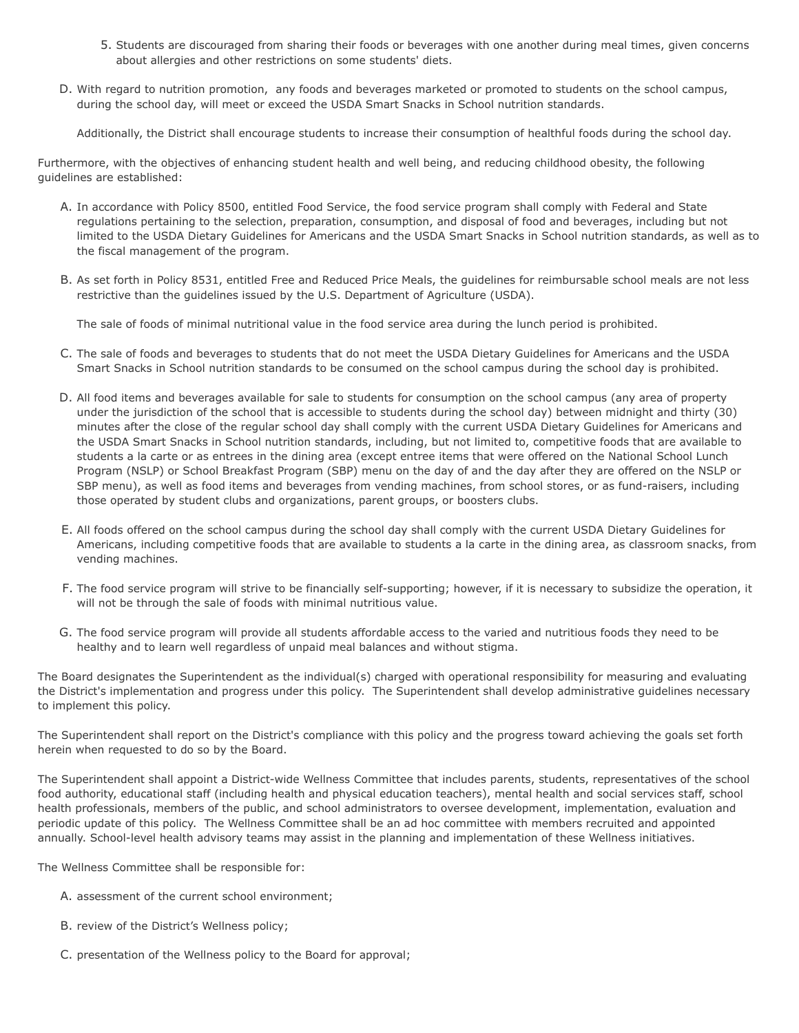- 5. Students are discouraged from sharing their foods or beverages with one another during meal times, given concerns about allergies and other restrictions on some students' diets.
- D. With regard to nutrition promotion, any foods and beverages marketed or promoted to students on the school campus, during the school day, will meet or exceed the USDA Smart Snacks in School nutrition standards.

Additionally, the District shall encourage students to increase their consumption of healthful foods during the school day.

Furthermore, with the objectives of enhancing student health and well being, and reducing childhood obesity, the following guidelines are established:

- A. In accordance with Policy 8500, entitled Food Service, the food service program shall comply with Federal and State regulations pertaining to the selection, preparation, consumption, and disposal of food and beverages, including but not limited to the USDA Dietary Guidelines for Americans and the USDA Smart Snacks in School nutrition standards, as well as to the fiscal management of the program.
- B. As set forth in Policy 8531, entitled Free and Reduced Price Meals, the guidelines for reimbursable school meals are not less restrictive than the guidelines issued by the U.S. Department of Agriculture (USDA).

The sale of foods of minimal nutritional value in the food service area during the lunch period is prohibited.

- C. The sale of foods and beverages to students that do not meet the USDA Dietary Guidelines for Americans and the USDA Smart Snacks in School nutrition standards to be consumed on the school campus during the school day is prohibited.
- D. All food items and beverages available for sale to students for consumption on the school campus (any area of property under the jurisdiction of the school that is accessible to students during the school day) between midnight and thirty (30) minutes after the close of the regular school day shall comply with the current USDA Dietary Guidelines for Americans and the USDA Smart Snacks in School nutrition standards, including, but not limited to, competitive foods that are available to students a la carte or as entrees in the dining area (except entree items that were offered on the National School Lunch Program (NSLP) or School Breakfast Program (SBP) menu on the day of and the day after they are offered on the NSLP or SBP menu), as well as food items and beverages from vending machines, from school stores, or as fund-raisers, including those operated by student clubs and organizations, parent groups, or boosters clubs.
- E. All foods offered on the school campus during the school day shall comply with the current USDA Dietary Guidelines for Americans, including competitive foods that are available to students a la carte in the dining area, as classroom snacks, from vending machines.
- F. The food service program will strive to be financially self-supporting; however, if it is necessary to subsidize the operation, it will not be through the sale of foods with minimal nutritious value.
- G. The food service program will provide all students affordable access to the varied and nutritious foods they need to be healthy and to learn well regardless of unpaid meal balances and without stigma.

The Board designates the Superintendent as the individual(s) charged with operational responsibility for measuring and evaluating the District's implementation and progress under this policy. The Superintendent shall develop administrative guidelines necessary to implement this policy.

The Superintendent shall report on the District's compliance with this policy and the progress toward achieving the goals set forth herein when requested to do so by the Board.

The Superintendent shall appoint a District-wide Wellness Committee that includes parents, students, representatives of the school food authority, educational staff (including health and physical education teachers), mental health and social services staff, school health professionals, members of the public, and school administrators to oversee development, implementation, evaluation and periodic update of this policy. The Wellness Committee shall be an ad hoc committee with members recruited and appointed annually. School-level health advisory teams may assist in the planning and implementation of these Wellness initiatives.

The Wellness Committee shall be responsible for:

- A. assessment of the current school environment;
- B. review of the District's Wellness policy;
- C. presentation of the Wellness policy to the Board for approval;